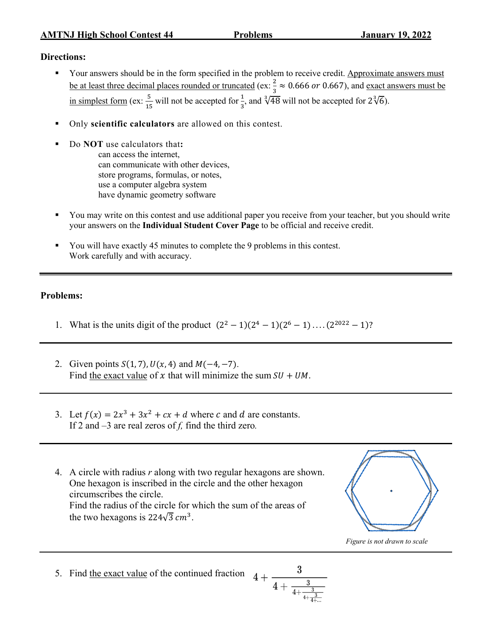## **Directions:**

- Your answers should be in the form specified in the problem to receive credit. Approximate answers must be at least three decimal places rounded or truncated (ex:  $\frac{2}{3} \approx 0.666$  or 0.667), and <u>exact answers must be</u> in simplest form (ex:  $\frac{5}{15}$  will not be accepted for  $\frac{1}{3}$ , and  $\sqrt[3]{48}$  will not be accepted for  $2\sqrt[3]{6}$ ).
- § Only **scientific calculators** are allowed on this contest.
	- § Do **NOT** use calculators that**:** can access the internet, can communicate with other devices, store programs, formulas, or notes, use a computer algebra system have dynamic geometry software
- § You may write on this contest and use additional paper you receive from your teacher, but you should write your answers on the **Individual Student Cover Page** to be official and receive credit.
- § You will have exactly 45 minutes to complete the 9 problems in this contest. Work carefully and with accuracy.

## **Problems:**

- 1. What is the units digit of the product  $(2^2 1)(2^4 1)(2^6 1) \dots (2^{2022} 1)$ ?
- 2. Given points  $S(1, 7)$ ,  $U(x, 4)$  and  $M(-4, -7)$ . Find the exact value of x that will minimize the sum  $SU + UM$ .
- 3. Let  $f(x) = 2x^3 + 3x^2 + cx + d$  where c and d are constants. If 2 and –3 are real zeros of *f,* find the third zero*.*
- 4. A circle with radius *r* along with two regular hexagons are shown. One hexagon is inscribed in the circle and the other hexagon circumscribes the circle. Find the radius of the circle for which the sum of the areas of the two hexagons is 224 $\sqrt{3}$   $cm^3$ .



 *Figure is not drawn to scale*

5. Find the exact value of the continued fraction  $4+$ 

$$
\frac{3}{4+\frac{3}{4+\frac{3}{4+\frac{3}{4+...}}}}
$$